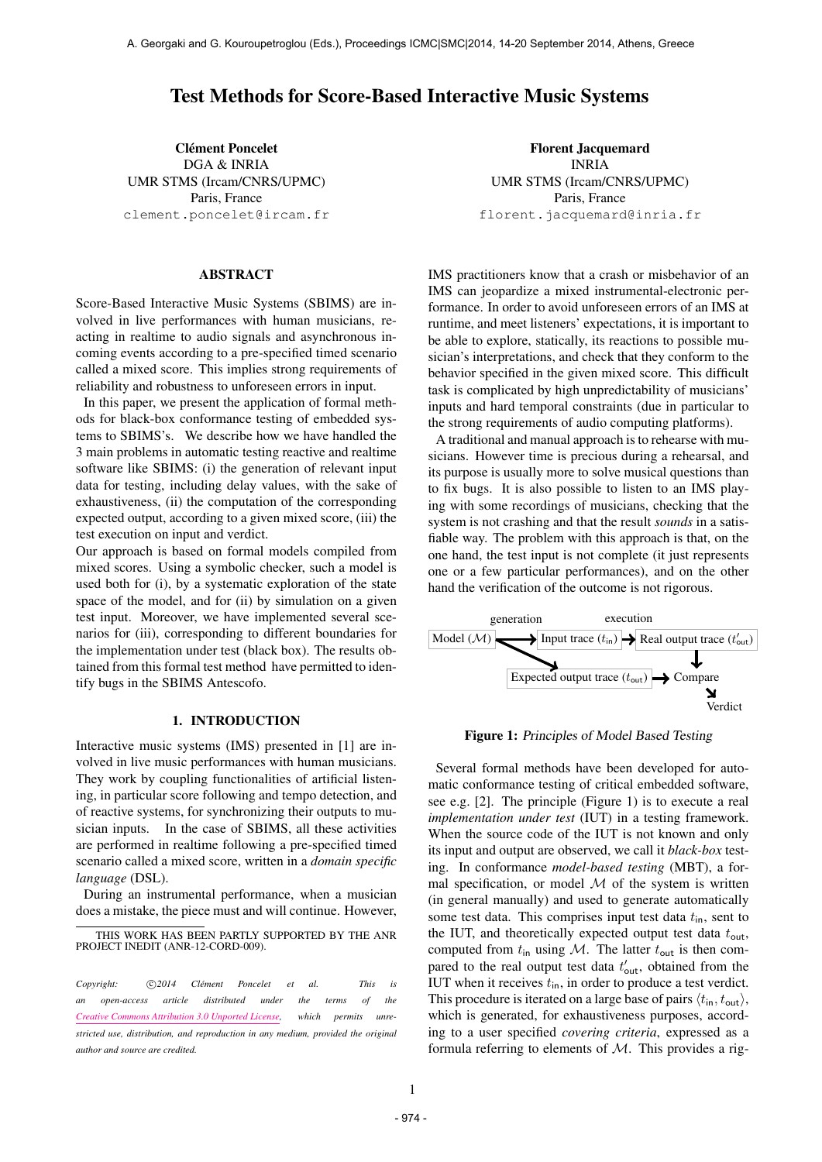# Test Methods for Score-Based Interactive Music Systems

**Clément Poncelet** DGA & INRIA UMR STMS (Ircam/CNRS/UPMC) Paris, France [clement.poncelet@ircam.fr](mailto:clement.poncelet@ircam.fr)

#### ABSTRACT

Score-Based Interactive Music Systems (SBIMS) are involved in live performances with human musicians, reacting in realtime to audio signals and asynchronous incoming events according to a pre-specified timed scenario called a mixed score. This implies strong requirements of reliability and robustness to unforeseen errors in input.

In this paper, we present the application of formal methods for black-box conformance testing of embedded systems to SBIMS's. We describe how we have handled the 3 main problems in automatic testing reactive and realtime software like SBIMS: (i) the generation of relevant input data for testing, including delay values, with the sake of exhaustiveness, (ii) the computation of the corresponding expected output, according to a given mixed score, (iii) the test execution on input and verdict.

Our approach is based on formal models compiled from mixed scores. Using a symbolic checker, such a model is used both for (i), by a systematic exploration of the state space of the model, and for (ii) by simulation on a given test input. Moreover, we have implemented several scenarios for (iii), corresponding to different boundaries for the implementation under test (black box). The results obtained from this formal test method have permitted to identify bugs in the SBIMS Antescofo.

### 1. INTRODUCTION

Interactive music systems (IMS) presented in [1] are involved in live music performances with human musicians. They work by coupling functionalities of artificial listening, in particular score following and tempo detection, and of reactive systems, for synchronizing their outputs to musician inputs. In the case of SBIMS, all these activities are performed in realtime following a pre-specified timed scenario called a mixed score, written in a *domain specific language* (DSL).

During an instrumental performance, when a musician does a mistake, the piece must and will continue. However,

Florent Jacquemard INRIA UMR STMS (Ircam/CNRS/UPMC) Paris, France [florent.jacquemard@inria.fr](mailto:florent.jacquemard@inria.fr)

IMS practitioners know that a crash or misbehavior of an IMS can jeopardize a mixed instrumental-electronic performance. In order to avoid unforeseen errors of an IMS at runtime, and meet listeners' expectations, it is important to be able to explore, statically, its reactions to possible musician's interpretations, and check that they conform to the behavior specified in the given mixed score. This difficult task is complicated by high unpredictability of musicians' inputs and hard temporal constraints (due in particular to the strong requirements of audio computing platforms).

A traditional and manual approach is to rehearse with musicians. However time is precious during a rehearsal, and its purpose is usually more to solve musical questions than to fix bugs. It is also possible to listen to an IMS playing with some recordings of musicians, checking that the system is not crashing and that the result *sounds* in a satisfiable way. The problem with this approach is that, on the one hand, the test input is not complete (it just represents one or a few particular performances), and on the other hand the verification of the outcome is not rigorous.



Figure 1: Principles of Model Based Testing

Several formal methods have been developed for automatic conformance testing of critical embedded software, see e.g. [2]. The principle (Figure 1) is to execute a real *implementation under test* (IUT) in a testing framework. When the source code of the IUT is not known and only its input and output are observed, we call it *black-box* testing. In conformance *model-based testing* (MBT), a formal specification, or model  $M$  of the system is written (in general manually) and used to generate automatically some test data. This comprises input test data  $t_{\text{in}}$ , sent to the IUT, and theoretically expected output test data  $t_{\text{out}}$ , computed from  $t_{\text{in}}$  using M. The latter  $t_{\text{out}}$  is then compared to the real output test data  $t'_{\text{out}}$ , obtained from the IUT when it receives  $t_{\text{in}}$ , in order to produce a test verdict. This procedure is iterated on a large base of pairs  $\langle t_{\text{in}}, t_{\text{out}} \rangle$ , which is generated, for exhaustiveness purposes, according to a user specified *covering criteria*, expressed as a formula referring to elements of  $M$ . This provides a rig-

THIS WORK HAS BEEN PARTLY SUPPORTED BY THE ANR PROJECT INEDIT (ANR-12-CORD-009).

*Copyright:*  $\bigcirc$ 2014 *Clément Poncelet et al.* This is *an open-access article distributed under the terms of the [Creative Commons Attribution 3.0 Unported License,](http://creativecommons.org/licenses/by/3.0/) which permits unrestricted use, distribution, and reproduction in any medium, provided the original author and source are credited.*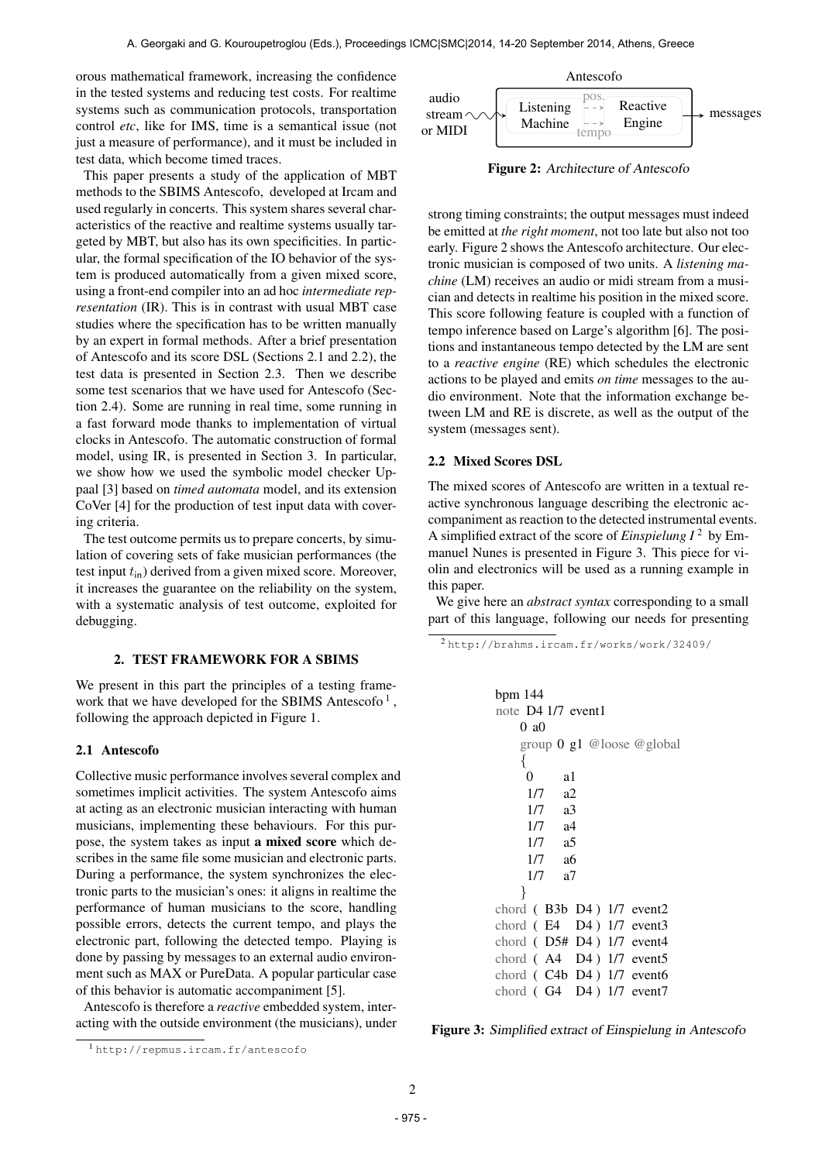orous mathematical framework, increasing the confidence in the tested systems and reducing test costs. For realtime systems such as communication protocols, transportation control *etc*, like for IMS, time is a semantical issue (not just a measure of performance), and it must be included in test data, which become timed traces.

This paper presents a study of the application of MBT methods to the SBIMS Antescofo, developed at Ircam and used regularly in concerts. This system shares several characteristics of the reactive and realtime systems usually targeted by MBT, but also has its own specificities. In particular, the formal specification of the IO behavior of the system is produced automatically from a given mixed score, using a front-end compiler into an ad hoc *intermediate representation* (IR). This is in contrast with usual MBT case studies where the specification has to be written manually by an expert in formal methods. After a brief presentation of Antescofo and its score DSL (Sections 2.1 and 2.2), the test data is presented in Section 2.3. Then we describe some test scenarios that we have used for Antescofo (Section 2.4). Some are running in real time, some running in a fast forward mode thanks to implementation of virtual clocks in Antescofo. The automatic construction of formal model, using IR, is presented in Section 3. In particular, we show how we used the symbolic model checker Uppaal [3] based on *timed automata* model, and its extension CoVer [4] for the production of test input data with covering criteria.

The test outcome permits us to prepare concerts, by simulation of covering sets of fake musician performances (the test input  $t_{\text{in}}$ ) derived from a given mixed score. Moreover, it increases the guarantee on the reliability on the system, with a systematic analysis of test outcome, exploited for debugging.

## 2. TEST FRAMEWORK FOR A SBIMS

We present in this part the principles of a testing framework that we have developed for the SBIMS Antescofo<sup>1</sup>, following the approach depicted in Figure 1.

#### 2.1 Antescofo

Collective music performance involves several complex and sometimes implicit activities. The system Antescofo aims at acting as an electronic musician interacting with human musicians, implementing these behaviours. For this purpose, the system takes as input a mixed score which describes in the same file some musician and electronic parts. During a performance, the system synchronizes the electronic parts to the musician's ones: it aligns in realtime the performance of human musicians to the score, handling possible errors, detects the current tempo, and plays the electronic part, following the detected tempo. Playing is done by passing by messages to an external audio environment such as MAX or PureData. A popular particular case of this behavior is automatic accompaniment [5].

Antescofo is therefore a *reactive* embedded system, interacting with the outside environment (the musicians), under



Figure 2: Architecture of Antescofo

strong timing constraints; the output messages must indeed be emitted at *the right moment*, not too late but also not too early. Figure 2 shows the Antescofo architecture. Our electronic musician is composed of two units. A *listening machine* (LM) receives an audio or midi stream from a musician and detects in realtime his position in the mixed score. This score following feature is coupled with a function of tempo inference based on Large's algorithm [6]. The positions and instantaneous tempo detected by the LM are sent to a *reactive engine* (RE) which schedules the electronic actions to be played and emits *on time* messages to the audio environment. Note that the information exchange between LM and RE is discrete, as well as the output of the system (messages sent).

## 2.2 Mixed Scores DSL

The mixed scores of Antescofo are written in a textual reactive synchronous language describing the electronic accompaniment as reaction to the detected instrumental events. A simplified extract of the score of *Einspielung I* 2 by Emmanuel Nunes is presented in Figure 3. This piece for violin and electronics will be used as a running example in this paper.

We give here an *abstract syntax* corresponding to a small part of this language, following our needs for presenting

```
2 http://brahms.ircam.fr/works/work/32409/
```

```
bpm 144
note D4 1/7 event1
   0 a0
   group 0 g1 @loose @global
   {
    0 a1
    1/7 a2
    1/7 a3
    1/7 a4
    1/7 a5
    1/7 a6
    1/7 a7
   }
chord ( B3b D4 ) 1/7 event2
chord ( E4 D4 ) 1/7 event3
chord ( D5# D4 ) 1/7 event4
chord (A4 D4) 1/7 event5
chord ( C4b D4 ) 1/7 event6
chord ( G4 D4 ) 1/7 event7
```
Figure 3: Simplified extract of Einspielung in Antescofo

<sup>1</sup> <http://repmus.ircam.fr/antescofo>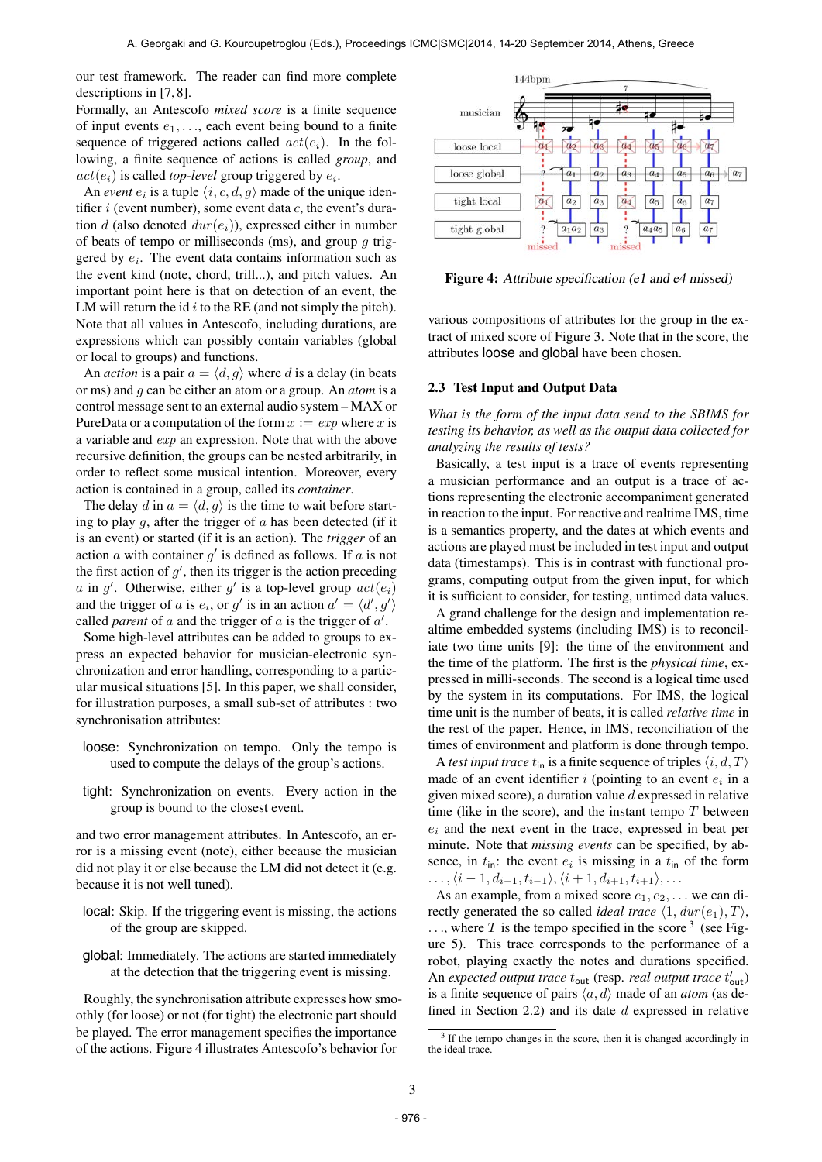our test framework. The reader can find more complete descriptions in [7, 8].

Formally, an Antescofo *mixed score* is a finite sequence of input events  $e_1, \ldots$ , each event being bound to a finite sequence of triggered actions called  $act(e_i)$ . In the following, a finite sequence of actions is called *group*, and  $act(e_i)$  is called *top-level* group triggered by  $e_i$ .

An *event*  $e_i$  is a tuple  $\langle i, c, d, g \rangle$  made of the unique identifier  $i$  (event number), some event data  $c$ , the event's duration d (also denoted  $dur(e_i)$ ), expressed either in number of beats of tempo or milliseconds (ms), and group  $q$  triggered by  $e_i$ . The event data contains information such as the event kind (note, chord, trill...), and pitch values. An important point here is that on detection of an event, the LM will return the id  $i$  to the RE (and not simply the pitch). Note that all values in Antescofo, including durations, are expressions which can possibly contain variables (global or local to groups) and functions.

An *action* is a pair  $a = \langle d, g \rangle$  where d is a delay (in beats or ms) and g can be either an atom or a group. An *atom* is a control message sent to an external audio system – MAX or PureData or a computation of the form  $x := exp$  where x is a variable and exp an expression. Note that with the above recursive definition, the groups can be nested arbitrarily, in order to reflect some musical intention. Moreover, every action is contained in a group, called its *container*.

The delay d in  $a = \langle d, g \rangle$  is the time to wait before starting to play q, after the trigger of  $\alpha$  has been detected (if it is an event) or started (if it is an action). The *trigger* of an action  $a$  with container  $g'$  is defined as follows. If  $a$  is not the first action of  $g'$ , then its trigger is the action preceding a in  $g'$ . Otherwise, either  $g'$  is a top-level group  $act(e_i)$ and the trigger of a is  $e_i$ , or g' is in an action  $a' = \langle d', g' \rangle$ called *parent* of  $a$  and the trigger of  $a$  is the trigger of  $a'$ .

Some high-level attributes can be added to groups to express an expected behavior for musician-electronic synchronization and error handling, corresponding to a particular musical situations [5]. In this paper, we shall consider, for illustration purposes, a small sub-set of attributes : two synchronisation attributes:

- loose: Synchronization on tempo. Only the tempo is used to compute the delays of the group's actions.
- tight: Synchronization on events. Every action in the group is bound to the closest event.

and two error management attributes. In Antescofo, an error is a missing event (note), either because the musician did not play it or else because the LM did not detect it (e.g. because it is not well tuned).

- local: Skip. If the triggering event is missing, the actions of the group are skipped.
- global: Immediately. The actions are started immediately at the detection that the triggering event is missing.

Roughly, the synchronisation attribute expresses how smoothly (for loose) or not (for tight) the electronic part should be played. The error management specifies the importance of the actions. Figure 4 illustrates Antescofo's behavior for



Figure 4: Attribute specification (e1 and e4 missed)

various compositions of attributes for the group in the extract of mixed score of Figure 3. Note that in the score, the attributes loose and global have been chosen.

#### 2.3 Test Input and Output Data

*What is the form of the input data send to the SBIMS for testing its behavior, as well as the output data collected for analyzing the results of tests?*

Basically, a test input is a trace of events representing a musician performance and an output is a trace of actions representing the electronic accompaniment generated in reaction to the input. For reactive and realtime IMS, time is a semantics property, and the dates at which events and actions are played must be included in test input and output data (timestamps). This is in contrast with functional programs, computing output from the given input, for which it is sufficient to consider, for testing, untimed data values.

A grand challenge for the design and implementation realtime embedded systems (including IMS) is to reconciliate two time units [9]: the time of the environment and the time of the platform. The first is the *physical time*, expressed in milli-seconds. The second is a logical time used by the system in its computations. For IMS, the logical time unit is the number of beats, it is called *relative time* in the rest of the paper. Hence, in IMS, reconciliation of the times of environment and platform is done through tempo.

A *test input trace*  $t_{\text{in}}$  is a finite sequence of triples  $\langle i, d, T \rangle$ made of an event identifier i (pointing to an event  $e_i$  in a given mixed score), a duration value  $d$  expressed in relative time (like in the score), and the instant tempo  $T$  between  $e_i$  and the next event in the trace, expressed in beat per minute. Note that *missing events* can be specified, by absence, in  $t_{\text{in}}$ : the event  $e_i$  is missing in a  $t_{\text{in}}$  of the form  $\ldots, \langle i-1, d_{i-1}, t_{i-1}\rangle, \langle i+1, d_{i+1}, t_{i+1}\rangle, \ldots$ 

As an example, from a mixed score  $e_1, e_2, \ldots$  we can directly generated the so called *ideal trace*  $\langle 1, \text{dur}(e_1), T \rangle$ ,  $\dots$ , where T is the tempo specified in the score <sup>3</sup> (see Figure 5). This trace corresponds to the performance of a robot, playing exactly the notes and durations specified. An *expected output trace*  $t_{\text{out}}$  (resp. *real output trace*  $t'_{\text{out}}$ ) is a finite sequence of pairs  $\langle a, d \rangle$  made of an *atom* (as defined in Section 2.2) and its date  $d$  expressed in relative

<sup>&</sup>lt;sup>3</sup> If the tempo changes in the score, then it is changed accordingly in the ideal trace.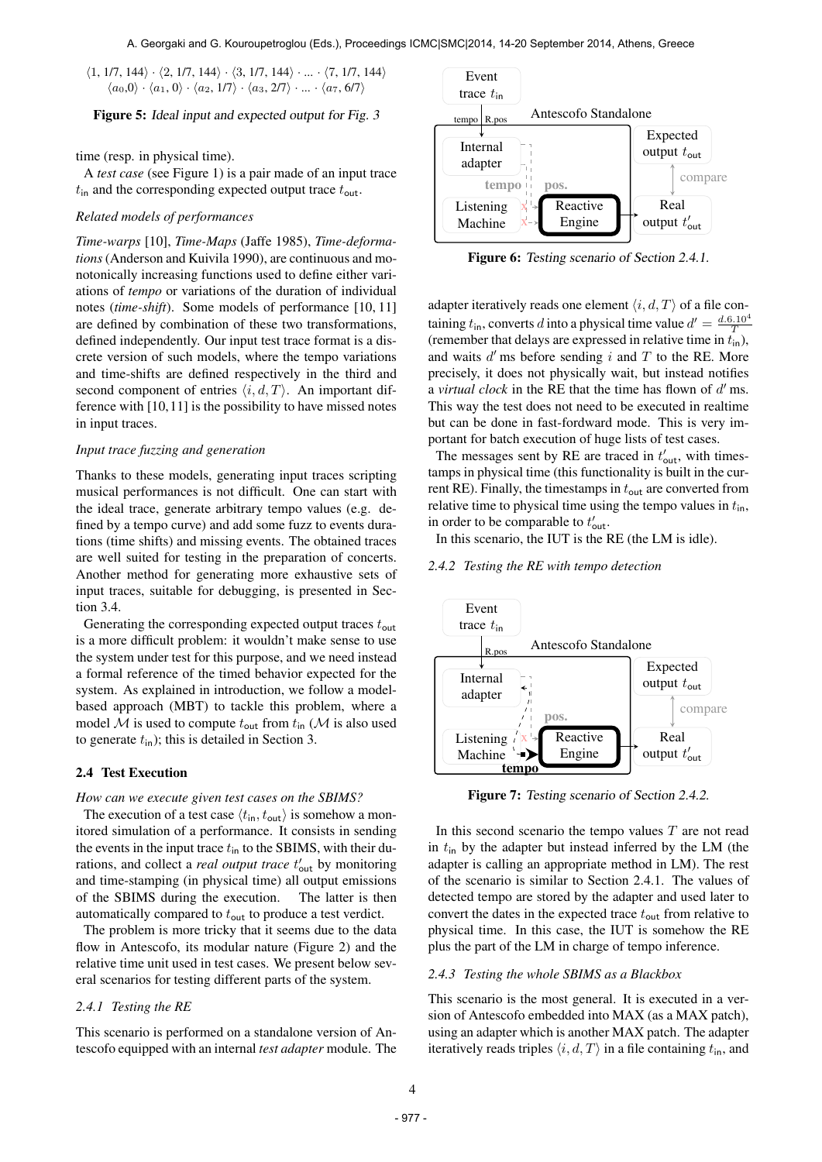$\langle 1, 1/7, 144 \rangle \cdot \langle 2, 1/7, 144 \rangle \cdot \langle 3, 1/7, 144 \rangle \cdot ... \cdot \langle 7, 1/7, 144 \rangle$  $\langle a_0,0\rangle \cdot \langle a_1, 0\rangle \cdot \langle a_2, 1/7\rangle \cdot \langle a_3, 2/7\rangle \cdot ... \cdot \langle a_7, 6/7\rangle$ 

Figure 5: Ideal input and expected output for Fig. 3

time (resp. in physical time).

A *test case* (see Figure 1) is a pair made of an input trace  $t_{\text{in}}$  and the corresponding expected output trace  $t_{\text{out}}$ .

### *Related models of performances*

*Time-warps* [10], *Time-Maps* (Jaffe 1985), *Time-deformations*(Anderson and Kuivila 1990), are continuous and monotonically increasing functions used to define either variations of *tempo* or variations of the duration of individual notes (*time-shift*). Some models of performance [10, 11] are defined by combination of these two transformations, defined independently. Our input test trace format is a discrete version of such models, where the tempo variations and time-shifts are defined respectively in the third and second component of entries  $\langle i, d, T \rangle$ . An important difference with [10,11] is the possibility to have missed notes in input traces.

#### *Input trace fuzzing and generation*

Thanks to these models, generating input traces scripting musical performances is not difficult. One can start with the ideal trace, generate arbitrary tempo values (e.g. defined by a tempo curve) and add some fuzz to events durations (time shifts) and missing events. The obtained traces are well suited for testing in the preparation of concerts. Another method for generating more exhaustive sets of input traces, suitable for debugging, is presented in Section 3.4.

Generating the corresponding expected output traces  $t_{\text{out}}$ is a more difficult problem: it wouldn't make sense to use the system under test for this purpose, and we need instead a formal reference of the timed behavior expected for the system. As explained in introduction, we follow a modelbased approach (MBT) to tackle this problem, where a model M is used to compute  $t_{\text{out}}$  from  $t_{\text{in}}$  (M is also used to generate  $t_{\text{in}}$ ); this is detailed in Section 3.

#### 2.4 Test Execution

## *How can we execute given test cases on the SBIMS?*

The execution of a test case  $\langle t_{\text{in}}, t_{\text{out}} \rangle$  is somehow a monitored simulation of a performance. It consists in sending the events in the input trace  $t_{\text{in}}$  to the SBIMS, with their durations, and collect a *real output trace*  $t'_{\text{out}}$  by monitoring and time-stamping (in physical time) all output emissions of the SBIMS during the execution. The latter is then automatically compared to  $t_{\text{out}}$  to produce a test verdict.

The problem is more tricky that it seems due to the data flow in Antescofo, its modular nature (Figure 2) and the relative time unit used in test cases. We present below several scenarios for testing different parts of the system.

### *2.4.1 Testing the RE*

This scenario is performed on a standalone version of Antescofo equipped with an internal *test adapter* module. The



Figure 6: Testing scenario of Section 2.4.1.

adapter iteratively reads one element  $\langle i, d, T \rangle$  of a file containing  $t_{\text{in}}$ , converts d into a physical time value  $d' = \frac{d \cdot 6.10^4}{T}$ (remember that delays are expressed in relative time in  $t_{\text{in}}$ ), and waits  $d'$  ms before sending  $i$  and  $T$  to the RE. More precisely, it does not physically wait, but instead notifies a *virtual clock* in the RE that the time has flown of  $d'$  ms. This way the test does not need to be executed in realtime but can be done in fast-fordward mode. This is very important for batch execution of huge lists of test cases.

The messages sent by RE are traced in  $t'_{\text{out}}$ , with timestamps in physical time (this functionality is built in the current RE). Finally, the timestamps in  $t_{\text{out}}$  are converted from relative time to physical time using the tempo values in  $t_{\text{in}}$ , in order to be comparable to  $t'_{\text{out}}$ .

In this scenario, the IUT is the RE (the LM is idle).

*2.4.2 Testing the RE with tempo detection*



Figure 7: Testing scenario of Section 2.4.2.

In this second scenario the tempo values  $T$  are not read in  $t_{\text{in}}$  by the adapter but instead inferred by the LM (the adapter is calling an appropriate method in LM). The rest of the scenario is similar to Section 2.4.1. The values of detected tempo are stored by the adapter and used later to convert the dates in the expected trace  $t_{\text{out}}$  from relative to physical time. In this case, the IUT is somehow the RE plus the part of the LM in charge of tempo inference.

## *2.4.3 Testing the whole SBIMS as a Blackbox*

This scenario is the most general. It is executed in a version of Antescofo embedded into MAX (as a MAX patch), using an adapter which is another MAX patch. The adapter iteratively reads triples  $\langle i, d, T \rangle$  in a file containing  $t_{\text{in}}$ , and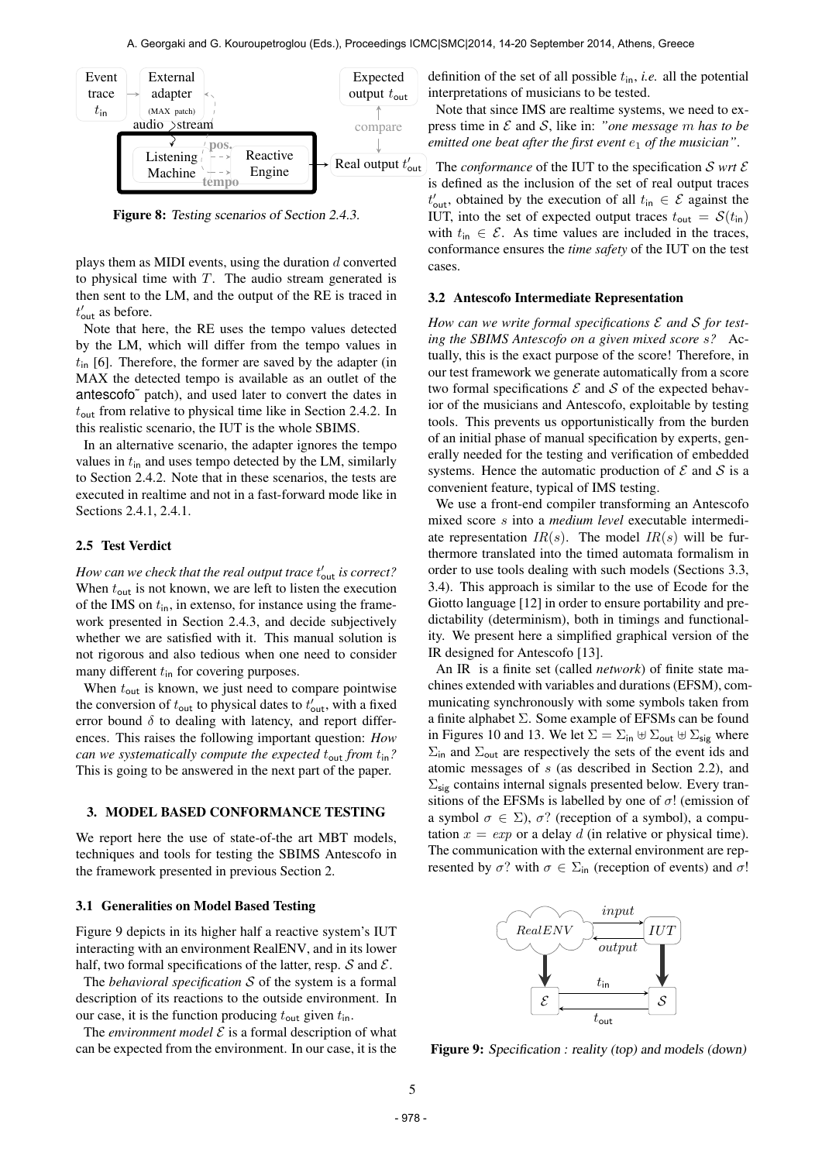

Figure 8: Testing scenarios of Section 2.4.3.

plays them as MIDI events, using the duration  $d$  converted to physical time with  $T$ . The audio stream generated is then sent to the LM, and the output of the RE is traced in  $t'_{\text{out}}$  as before.

Note that here, the RE uses the tempo values detected by the LM, which will differ from the tempo values in  $t_{\text{in}}$  [6]. Therefore, the former are saved by the adapter (in MAX the detected tempo is available as an outlet of the antescofo˜ patch), and used later to convert the dates in  $t_{\text{out}}$  from relative to physical time like in Section 2.4.2. In this realistic scenario, the IUT is the whole SBIMS.

In an alternative scenario, the adapter ignores the tempo values in  $t_{\text{in}}$  and uses tempo detected by the LM, similarly to Section 2.4.2. Note that in these scenarios, the tests are executed in realtime and not in a fast-forward mode like in Sections 2.4.1, 2.4.1.

### 2.5 Test Verdict

 $How can we check that the real output trace  $t'_{\sf out}$  is correct?$ When  $t_{\text{out}}$  is not known, we are left to listen the execution of the IMS on  $t_{\text{in}}$ , in extenso, for instance using the framework presented in Section 2.4.3, and decide subjectively whether we are satisfied with it. This manual solution is not rigorous and also tedious when one need to consider many different  $t_{\text{in}}$  for covering purposes.

When  $t_{\text{out}}$  is known, we just need to compare pointwise the conversion of  $t_{\text{out}}$  to physical dates to  $t'_{\text{out}}$ , with a fixed error bound  $\delta$  to dealing with latency, and report differences. This raises the following important question: *How can we systematically compute the expected*  $t_{\text{out}}$  *from*  $t_{\text{in}}$ ? This is going to be answered in the next part of the paper.

#### 3. MODEL BASED CONFORMANCE TESTING

We report here the use of state-of-the art MBT models, techniques and tools for testing the SBIMS Antescofo in the framework presented in previous Section 2.

#### 3.1 Generalities on Model Based Testing

Figure 9 depicts in its higher half a reactive system's IUT interacting with an environment RealENV, and in its lower half, two formal specifications of the latter, resp.  $S$  and  $\mathcal{E}$ .

The *behavioral specification* S of the system is a formal description of its reactions to the outside environment. In our case, it is the function producing  $t_{\text{out}}$  given  $t_{\text{in}}$ .

The *environment model*  $\mathcal E$  is a formal description of what can be expected from the environment. In our case, it is the definition of the set of all possible  $t_{\text{in}}$ , *i.e.* all the potential interpretations of musicians to be tested.

Note that since IMS are realtime systems, we need to express time in E and S, like in: *"one message* m *has to be emitted one beat after the first event*  $e_1$  *of the musician"*.

The *conformance* of the IUT to the specification  $S$  *wrt*  $E$ is defined as the inclusion of the set of real output traces  $t'_{\text{out}}$ , obtained by the execution of all  $t_{\text{in}} \in \mathcal{E}$  against the IUT, into the set of expected output traces  $t_{\text{out}} = \mathcal{S}(t_{\text{in}})$ with  $t_{\text{in}} \in \mathcal{E}$ . As time values are included in the traces, conformance ensures the *time safety* of the IUT on the test cases.

### 3.2 Antescofo Intermediate Representation

*How can we write formal specifications* E *and* S *for testing the SBIMS Antescofo on a given mixed score* s*?* Actually, this is the exact purpose of the score! Therefore, in our test framework we generate automatically from a score two formal specifications  $\mathcal E$  and  $\mathcal S$  of the expected behavior of the musicians and Antescofo, exploitable by testing tools. This prevents us opportunistically from the burden of an initial phase of manual specification by experts, generally needed for the testing and verification of embedded systems. Hence the automatic production of  $\mathcal E$  and  $\mathcal S$  is a convenient feature, typical of IMS testing.

We use a front-end compiler transforming an Antescofo mixed score s into a *medium level* executable intermediate representation  $IR(s)$ . The model  $IR(s)$  will be furthermore translated into the timed automata formalism in order to use tools dealing with such models (Sections 3.3, 3.4). This approach is similar to the use of Ecode for the Giotto language [12] in order to ensure portability and predictability (determinism), both in timings and functionality. We present here a simplified graphical version of the IR designed for Antescofo [13].

An IR is a finite set (called *network*) of finite state machines extended with variables and durations (EFSM), communicating synchronously with some symbols taken from a finite alphabet Σ. Some example of EFSMs can be found in Figures 10 and 13. We let  $\Sigma = \Sigma_{\text{in}} \oplus \Sigma_{\text{out}} \oplus \Sigma_{\text{sig}}$  where  $\Sigma$ <sub>in</sub> and  $\Sigma$ <sub>out</sub> are respectively the sets of the event ids and atomic messages of s (as described in Section 2.2), and  $\Sigma_{\text{sig}}$  contains internal signals presented below. Every transitions of the EFSMs is labelled by one of  $\sigma$ ! (emission of a symbol  $\sigma \in \Sigma$ ),  $\sigma$ ? (reception of a symbol), a computation  $x = exp$  or a delay d (in relative or physical time). The communication with the external environment are represented by  $\sigma$ ? with  $\sigma \in \Sigma_{\text{in}}$  (reception of events) and  $\sigma$ !



Figure 9: Specification : reality (top) and models (down)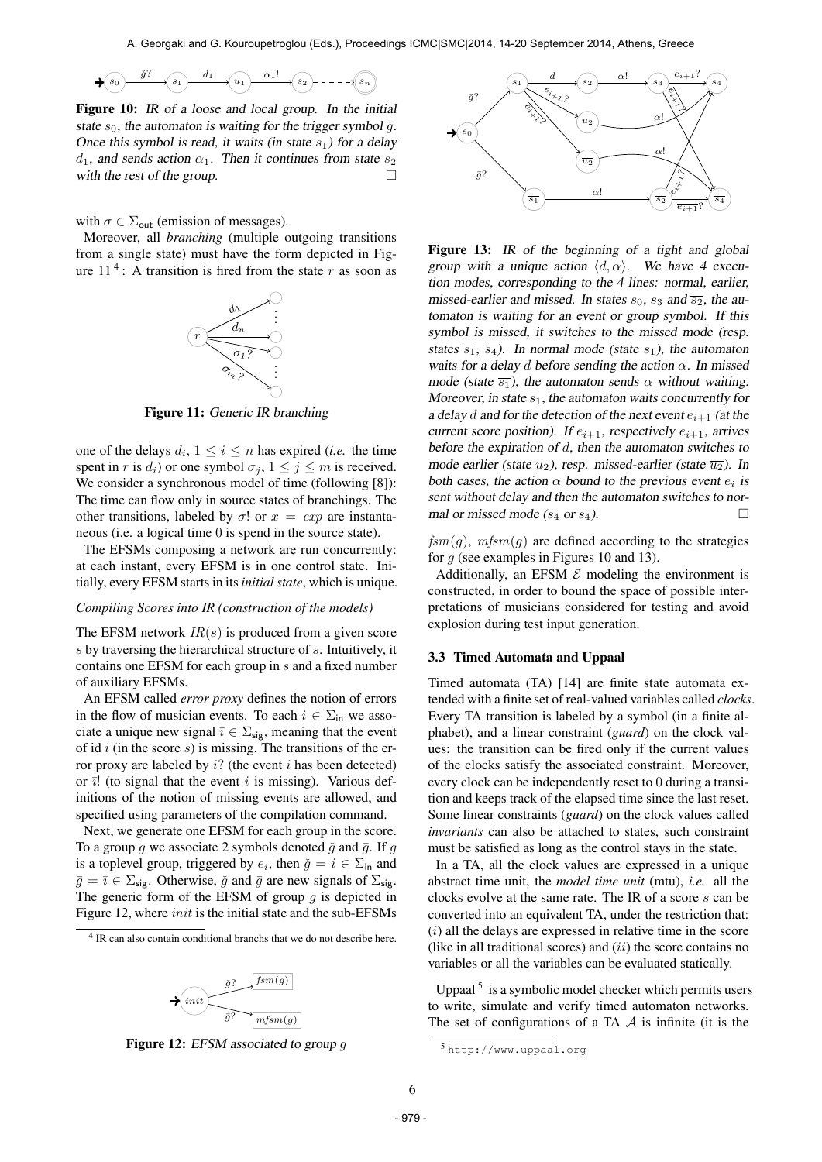$$
\bigstar(s_0)\overset{\check g?}{\longrightarrow}(s_1)\overset{d_1}{\longrightarrow}(u_1)\overset{\alpha_1!}{\longrightarrow}(s_2)\ \cdots\ \cdots\ \widehat{(s_n)}
$$

Figure 10: IR of a loose and local group. In the initial state  $s_0$ , the automaton is waiting for the trigger symbol  $\check{g}$ . Once this symbol is read, it waits (in state  $s_1$ ) for a delay  $d_1$ , and sends action  $\alpha_1$ . Then it continues from state  $s_2$ with the rest of the group.  $\Box$ 

with  $\sigma \in \Sigma_{\text{out}}$  (emission of messages).

Moreover, all *branching* (multiple outgoing transitions from a single state) must have the form depicted in Figure  $11<sup>4</sup>$ : A transition is fired from the state r as soon as



Figure 11: Generic IR branching

one of the delays  $d_i$ ,  $1 \leq i \leq n$  has expired *(i.e.* the time spent in r is  $d_i$ ) or one symbol  $\sigma_i$ ,  $1 \leq j \leq m$  is received. We consider a synchronous model of time (following [8]): The time can flow only in source states of branchings. The other transitions, labeled by  $\sigma$ ! or  $x = exp$  are instantaneous (i.e. a logical time 0 is spend in the source state).

The EFSMs composing a network are run concurrently: at each instant, every EFSM is in one control state. Initially, every EFSM starts in its*initial state*, which is unique.

#### *Compiling Scores into IR (construction of the models)*

The EFSM network  $IR(s)$  is produced from a given score s by traversing the hierarchical structure of s. Intuitively, it contains one EFSM for each group in s and a fixed number of auxiliary EFSMs.

An EFSM called *error proxy* defines the notion of errors in the flow of musician events. To each  $i \in \Sigma_{\text{in}}$  we associate a unique new signal  $\bar{\imath} \in \Sigma_{\text{sig}}$ , meaning that the event of id  $i$  (in the score  $s$ ) is missing. The transitions of the error proxy are labeled by  $i$ ? (the event i has been detected) or  $\bar{i}$ ! (to signal that the event i is missing). Various definitions of the notion of missing events are allowed, and specified using parameters of the compilation command.

Next, we generate one EFSM for each group in the score. To a group q we associate 2 symbols denoted  $\check{q}$  and  $\bar{q}$ . If q is a toplevel group, triggered by  $e_i$ , then  $\check{g} = i \in \Sigma_{\text{in}}$  and  $\bar{g} = \bar{i} \in \Sigma_{\text{sig}}$ . Otherwise,  $\check{g}$  and  $\bar{g}$  are new signals of  $\Sigma_{\text{sig}}$ . The generic form of the EFSM of group  $g$  is depicted in Figure 12, where *init* is the initial state and the sub-EFSMs

<sup>4</sup> IR can also contain conditional branchs that we do not describe here.



Figure 12: EFSM associated to group q



Figure 13: IR of the beginning of a tight and global group with a unique action  $\langle d, \alpha \rangle$ . We have 4 execution modes, corresponding to the 4 lines: normal, earlier, missed-earlier and missed. In states  $s_0$ ,  $s_3$  and  $\overline{s_2}$ , the automaton is waiting for an event or group symbol. If this symbol is missed, it switches to the missed mode (resp. states  $\overline{s_1}$ ,  $\overline{s_4}$ ). In normal mode (state  $s_1$ ), the automaton waits for a delay d before sending the action  $\alpha$ . In missed mode (state  $\overline{s_1}$ ), the automaton sends  $\alpha$  without waiting. Moreover, in state  $s_1$ , the automaton waits concurrently for a delay d and for the detection of the next event  $e_{i+1}$  (at the current score position). If  $e_{i+1}$ , respectively  $\overline{e_{i+1}}$ , arrives before the expiration of  $d$ , then the automaton switches to mode earlier (state  $u_2$ ), resp. missed-earlier (state  $\overline{u_2}$ ). In both cases, the action  $\alpha$  bound to the previous event  $e_i$  is sent without delay and then the automaton switches to normal or missed mode ( $s_4$  or  $\overline{s_4}$ ).

 $f_{\text{S}m}(q)$ ,  $m f_{\text{S}m}(q)$  are defined according to the strategies for  $q$  (see examples in Figures 10 and 13).

Additionally, an EFSM  $\mathcal E$  modeling the environment is constructed, in order to bound the space of possible interpretations of musicians considered for testing and avoid explosion during test input generation.

#### 3.3 Timed Automata and Uppaal

Timed automata (TA) [14] are finite state automata extended with a finite set of real-valued variables called *clocks*. Every TA transition is labeled by a symbol (in a finite alphabet), and a linear constraint (*guard*) on the clock values: the transition can be fired only if the current values of the clocks satisfy the associated constraint. Moreover, every clock can be independently reset to 0 during a transition and keeps track of the elapsed time since the last reset. Some linear constraints (*guard*) on the clock values called *invariants* can also be attached to states, such constraint must be satisfied as long as the control stays in the state.

In a TA, all the clock values are expressed in a unique abstract time unit, the *model time unit* (mtu), *i.e.* all the clocks evolve at the same rate. The IR of a score s can be converted into an equivalent TA, under the restriction that:  $(i)$  all the delays are expressed in relative time in the score (like in all traditional scores) and  $(ii)$  the score contains no variables or all the variables can be evaluated statically.

Uppaal<sup>5</sup> is a symbolic model checker which permits users to write, simulate and verify timed automaton networks. The set of configurations of a TA  $A$  is infinite (it is the

<sup>5</sup> <http://www.uppaal.org>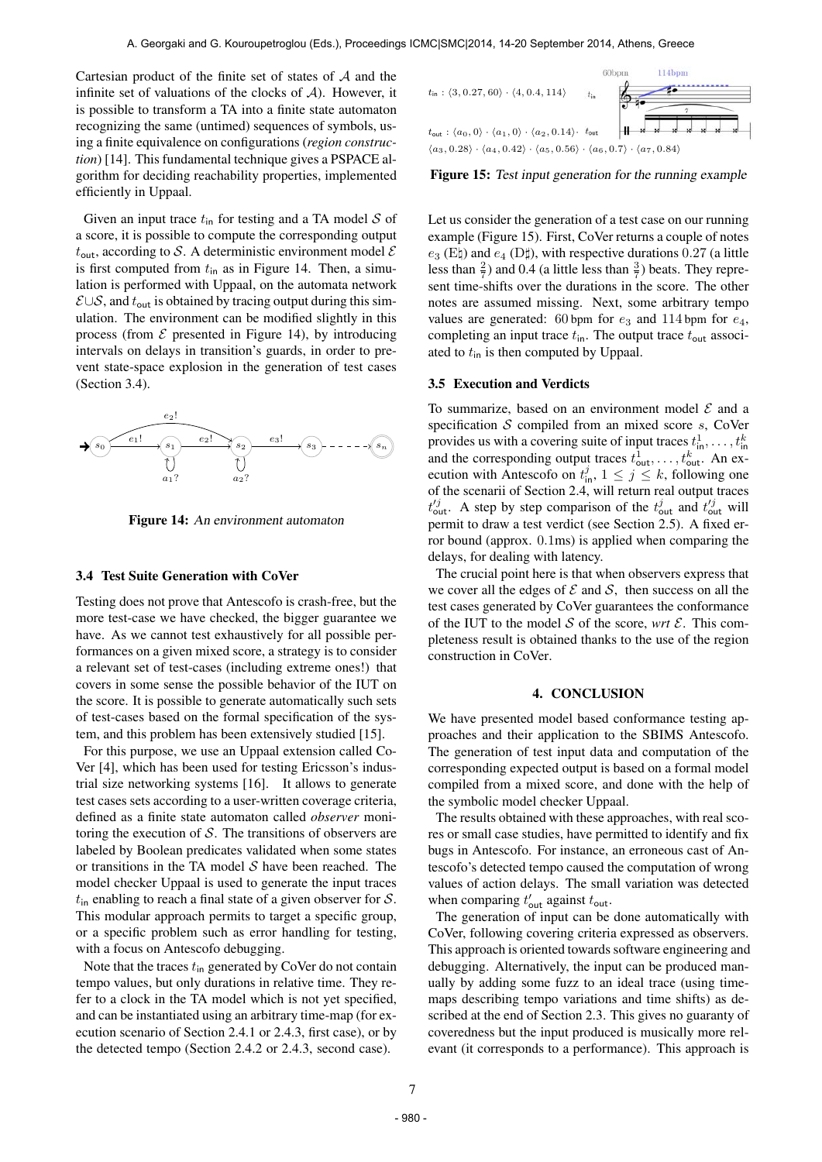Cartesian product of the finite set of states of  $A$  and the infinite set of valuations of the clocks of  $A$ ). However, it is possible to transform a TA into a finite state automaton recognizing the same (untimed) sequences of symbols, using a finite equivalence on configurations (*region construction*) [14]. This fundamental technique gives a PSPACE algorithm for deciding reachability properties, implemented efficiently in Uppaal.

Given an input trace  $t_{\text{in}}$  for testing and a TA model S of a score, it is possible to compute the corresponding output  $t_{\text{out}}$ , according to S. A deterministic environment model  $\mathcal E$ is first computed from  $t_{\text{in}}$  as in Figure 14. Then, a simulation is performed with Uppaal, on the automata network  $E \cup S$ , and  $t_{\text{out}}$  is obtained by tracing output during this simulation. The environment can be modified slightly in this process (from  $\mathcal E$  presented in Figure 14), by introducing intervals on delays in transition's guards, in order to prevent state-space explosion in the generation of test cases (Section 3.4).



Figure 14: An environment automaton

#### 3.4 Test Suite Generation with CoVer

Testing does not prove that Antescofo is crash-free, but the more test-case we have checked, the bigger guarantee we have. As we cannot test exhaustively for all possible performances on a given mixed score, a strategy is to consider a relevant set of test-cases (including extreme ones!) that covers in some sense the possible behavior of the IUT on the score. It is possible to generate automatically such sets of test-cases based on the formal specification of the system, and this problem has been extensively studied [15].

For this purpose, we use an Uppaal extension called Co-Ver [4], which has been used for testing Ericsson's industrial size networking systems [16]. It allows to generate test cases sets according to a user-written coverage criteria, defined as a finite state automaton called *observer* monitoring the execution of  $S$ . The transitions of observers are labeled by Boolean predicates validated when some states or transitions in the TA model  $S$  have been reached. The model checker Uppaal is used to generate the input traces  $t_{\text{in}}$  enabling to reach a final state of a given observer for  $S$ . This modular approach permits to target a specific group, or a specific problem such as error handling for testing, with a focus on Antescofo debugging.

Note that the traces  $t_{\text{in}}$  generated by CoVer do not contain tempo values, but only durations in relative time. They refer to a clock in the TA model which is not yet specified, and can be instantiated using an arbitrary time-map (for execution scenario of Section 2.4.1 or 2.4.3, first case), or by the detected tempo (Section 2.4.2 or 2.4.3, second case).



Figure 15: Test input generation for the running example

Let us consider the generation of a test case on our running example (Figure 15). First, CoVer returns a couple of notes  $e_3$  (E\) and  $e_4$  (D\), with respective durations 0.27 (a little less than  $\frac{2}{7}$ ) and 0.4 (a little less than  $\frac{3}{7}$ ) beats. They represent time-shifts over the durations in the score. The other notes are assumed missing. Next, some arbitrary tempo values are generated: 60 bpm for  $e_3$  and 114 bpm for  $e_4$ , completing an input trace  $t_{\text{in}}$ . The output trace  $t_{\text{out}}$  associated to  $t_{\text{in}}$  is then computed by Uppaal.

## 3.5 Execution and Verdicts

To summarize, based on an environment model  $\mathcal E$  and a specification  $S$  compiled from an mixed score  $s$ , CoVer provides us with a covering suite of input traces  $t_{\text{in}}^1, \ldots, t_{\text{in}}^k$ and the corresponding output traces  $t_{\text{out}}^1, \ldots, t_{\text{out}}^k$ . An execution with Antescofo on  $t_{\text{in}}^j$ ,  $1 \leq j \leq k$ , following one of the scenarii of Section 2.4, will return real output traces  $t_{\text{out}}^{j}$ . A step by step comparison of the  $t_{\text{out}}^{j}$  and  $t_{\text{out}}^{j}$  will permit to draw a test verdict (see Section 2.5). A fixed error bound (approx. 0.1ms) is applied when comparing the delays, for dealing with latency.

The crucial point here is that when observers express that we cover all the edges of  $\mathcal E$  and  $\mathcal S$ , then success on all the test cases generated by CoVer guarantees the conformance of the IUT to the model  $S$  of the score, *wrt*  $\mathcal{E}$ . This completeness result is obtained thanks to the use of the region construction in CoVer.

## 4. CONCLUSION

We have presented model based conformance testing approaches and their application to the SBIMS Antescofo. The generation of test input data and computation of the corresponding expected output is based on a formal model compiled from a mixed score, and done with the help of the symbolic model checker Uppaal.

The results obtained with these approaches, with real scores or small case studies, have permitted to identify and fix bugs in Antescofo. For instance, an erroneous cast of Antescofo's detected tempo caused the computation of wrong values of action delays. The small variation was detected when comparing  $t'_{\text{out}}$  against  $t_{\text{out}}$ .

The generation of input can be done automatically with CoVer, following covering criteria expressed as observers. This approach is oriented towards software engineering and debugging. Alternatively, the input can be produced manually by adding some fuzz to an ideal trace (using timemaps describing tempo variations and time shifts) as described at the end of Section 2.3. This gives no guaranty of coveredness but the input produced is musically more relevant (it corresponds to a performance). This approach is